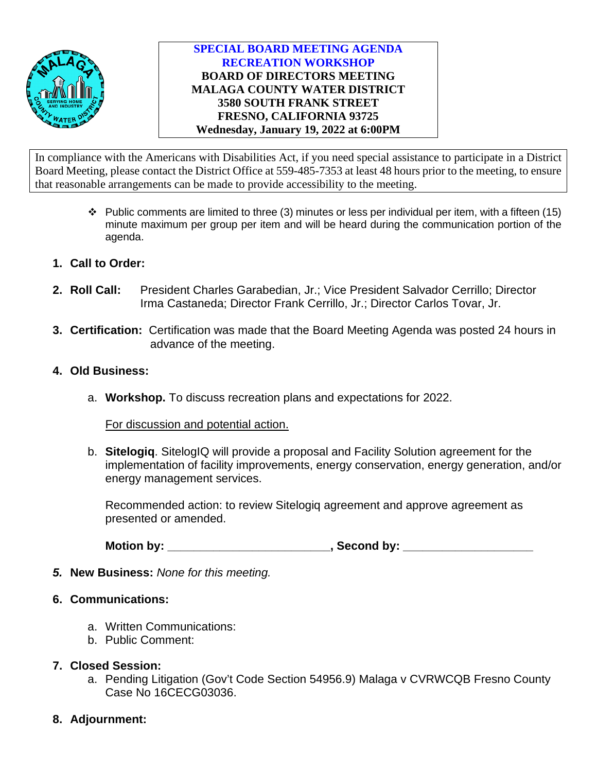

#### **SPECIAL BOARD MEETING AGENDA RECREATION WORKSHOP BOARD OF DIRECTORS MEETING MALAGA COUNTY WATER DISTRICT 3580 SOUTH FRANK STREET FRESNO, CALIFORNIA 93725 Wednesday, January 19, 2022 at 6:00PM**

In compliance with the Americans with Disabilities Act, if you need special assistance to participate in a District Board Meeting, please contact the District Office at 559-485-7353 at least 48 hours prior to the meeting, to ensure that reasonable arrangements can be made to provide accessibility to the meeting.

- $\cdot \cdot$  Public comments are limited to three (3) minutes or less per individual per item, with a fifteen (15) minute maximum per group per item and will be heard during the communication portion of the agenda.
- **1. Call to Order:**
- **2. Roll Call:** President Charles Garabedian, Jr.; Vice President Salvador Cerrillo; Director Irma Castaneda; Director Frank Cerrillo, Jr.; Director Carlos Tovar, Jr.
- **3. Certification:** Certification was made that the Board Meeting Agenda was posted 24 hours in advance of the meeting.
- **4. Old Business:**
	- a. **Workshop.** To discuss recreation plans and expectations for 2022.

For discussion and potential action.

b. **Sitelogiq**. SitelogIQ will provide a proposal and Facility Solution agreement for the implementation of facility improvements, energy conservation, energy generation, and/or energy management services.

Recommended action: to review Sitelogiq agreement and approve agreement as presented or amended.

Motion by: \_\_\_\_\_\_\_\_\_\_\_\_\_\_\_\_\_\_\_\_\_\_\_\_\_\_\_, Second by: \_\_\_\_\_\_\_\_\_\_\_\_\_\_\_\_\_\_\_\_\_\_\_\_\_\_\_\_\_\_

- *5.* **New Business:** *None for this meeting.*
- **6. Communications:**
	- a. Written Communications:
	- b. Public Comment:

# **7. Closed Session:**

- a. Pending Litigation (Gov't Code Section 54956.9) Malaga v CVRWCQB Fresno County Case No 16CECG03036.
- **8. Adjournment:**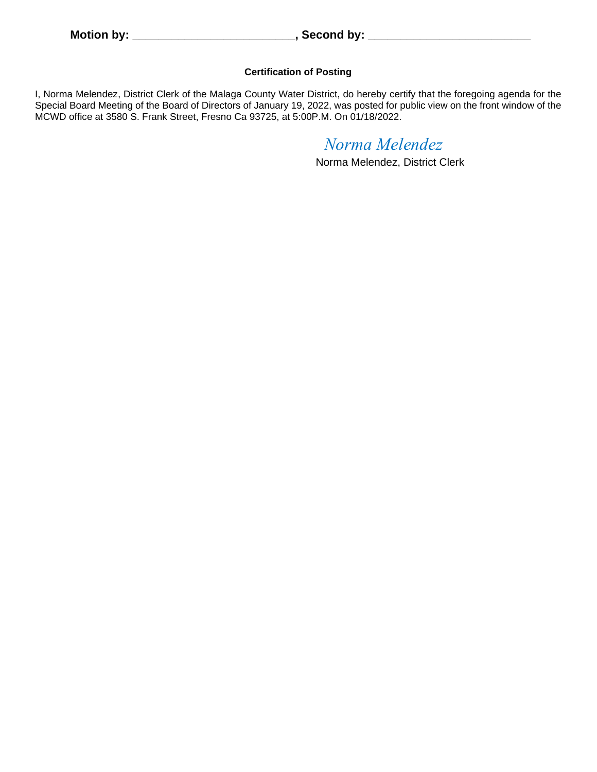#### **Certification of Posting**

I, Norma Melendez, District Clerk of the Malaga County Water District, do hereby certify that the foregoing agenda for the Special Board Meeting of the Board of Directors of January 19, 2022, was posted for public view on the front window of the MCWD office at 3580 S. Frank Street, Fresno Ca 93725, at 5:00P.M. On 01/18/2022.

# *Norma Melendez*

Norma Melendez, District Clerk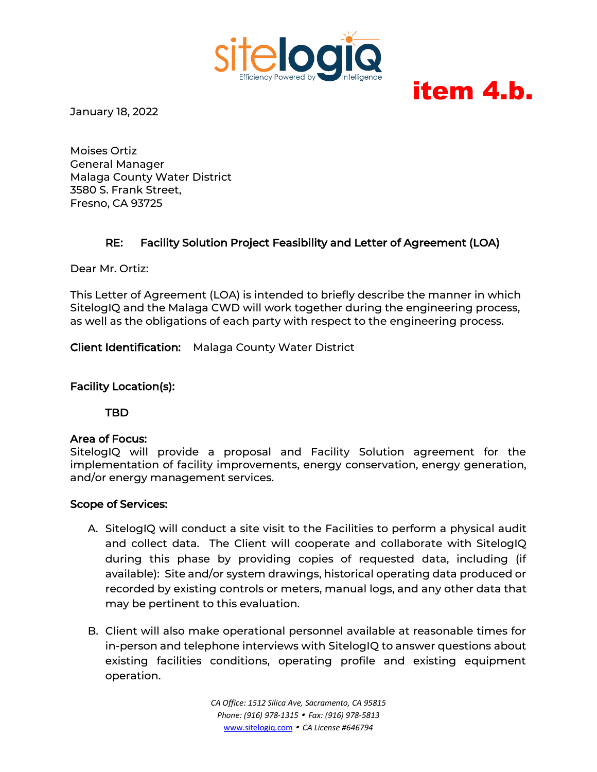

# item 4.b.

January 18, 2022

Moises Ortiz General Manager Malaga County Water District 3580 S. Frank Street, Fresno, CA 93725

# RE: Facility Solution Project Feasibility and Letter of Agreement (LOA)

Dear Mr. Ortiz:

This Letter of Agreement (LOA) is intended to briefly describe the manner in which SitelogIQ and the Malaga CWD will work together during the engineering process, as well as the obligations of each party with respect to the engineering process.

Client Identification: Malaga County Water District

#### Facility Location(s):

TBD

#### Area of Focus:

SitelogIQ will provide a proposal and Facility Solution agreement for the implementation of facility improvements, energy conservation, energy generation, and/or energy management services.

#### Scope of Services:

- A. SitelogIQ will conduct a site visit to the Facilities to perform a physical audit and collect data. The Client will cooperate and collaborate with SitelogIQ during this phase by providing copies of requested data, including (if available): Site and/or system drawings, historical operating data produced or recorded by existing controls or meters, manual logs, and any other data that may be pertinent to this evaluation.
- B. Client will also make operational personnel available at reasonable times for in-person and telephone interviews with SitelogIQ to answer questions about existing facilities conditions, operating profile and existing equipment operation.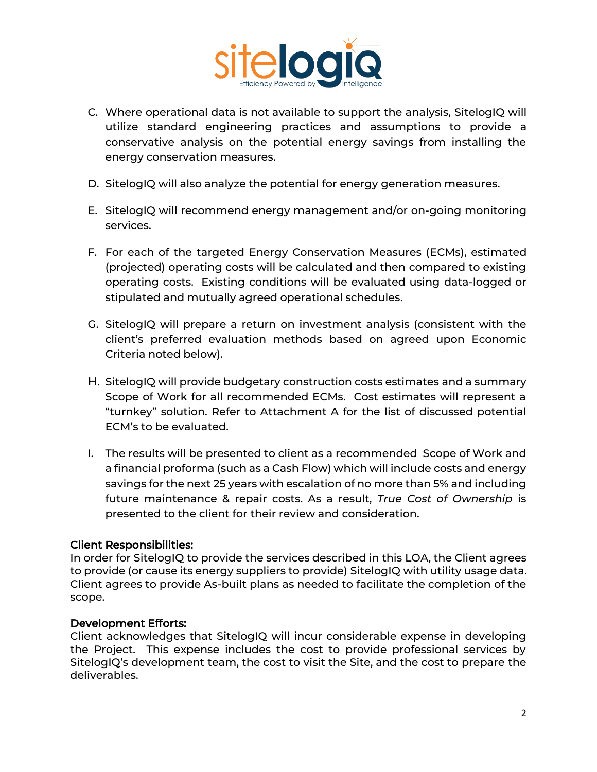

- C. Where operational data is not available to support the analysis, SitelogIQ will utilize standard engineering practices and assumptions to provide a conservative analysis on the potential energy savings from installing the energy conservation measures.
- D. SitelogIQ will also analyze the potential for energy generation measures.
- E. SitelogIQ will recommend energy management and/or on-going monitoring services.
- F. For each of the targeted Energy Conservation Measures (ECMs), estimated (projected) operating costs will be calculated and then compared to existing operating costs. Existing conditions will be evaluated using data-logged or stipulated and mutually agreed operational schedules.
- G. SitelogIQ will prepare a return on investment analysis (consistent with the client's preferred evaluation methods based on agreed upon Economic Criteria noted below).
- H. SitelogIQ will provide budgetary construction costs estimates and a summary Scope of Work for all recommended ECMs. Cost estimates will represent a "turnkey" solution. Refer to Attachment A for the list of discussed potential ECM's to be evaluated.
- I. The results will be presented to client as a recommended Scope of Work and a financial proforma (such as a Cash Flow) which will include costs and energy savings for the next 25 years with escalation of no more than 5% and including future maintenance & repair costs. As a result, *True Cost of Ownership* is presented to the client for their review and consideration.

#### Client Responsibilities:

In order for SitelogIQ to provide the services described in this LOA, the Client agrees to provide (or cause its energy suppliers to provide) SitelogIQ with utility usage data. Client agrees to provide As-built plans as needed to facilitate the completion of the scope.

#### Development Efforts:

Client acknowledges that SitelogIQ will incur considerable expense in developing the Project. This expense includes the cost to provide professional services by SitelogIQ's development team, the cost to visit the Site, and the cost to prepare the deliverables.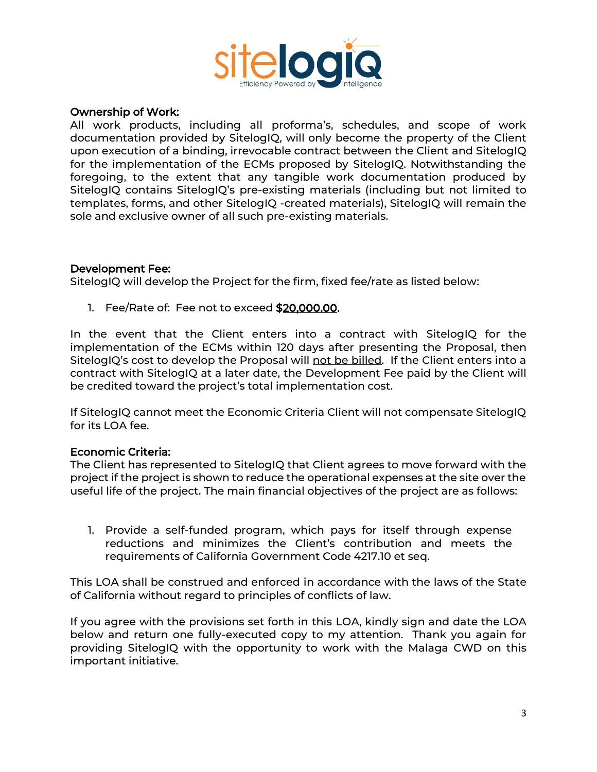

#### Ownership of Work:

All work products, including all proforma's, schedules, and scope of work documentation provided by SitelogIQ, will only become the property of the Client upon execution of a binding, irrevocable contract between the Client and SitelogIQ for the implementation of the ECMs proposed by SitelogIQ. Notwithstanding the foregoing, to the extent that any tangible work documentation produced by SitelogIQ contains SitelogIQ's pre-existing materials (including but not limited to templates, forms, and other SitelogIQ -created materials), SitelogIQ will remain the sole and exclusive owner of all such pre-existing materials.

#### Development Fee:

SitelogIQ will develop the Project for the firm, fixed fee/rate as listed below:

1. Fee/Rate of: Fee not to exceed \$20,000.00.

In the event that the Client enters into a contract with SitelogIQ for the implementation of the ECMs within 120 days after presenting the Proposal, then SitelogIQ's cost to develop the Proposal will not be billed. If the Client enters into a contract with SitelogIQ at a later date, the Development Fee paid by the Client will be credited toward the project's total implementation cost.

If SitelogIQ cannot meet the Economic Criteria Client will not compensate SitelogIQ for its LOA fee.

#### Economic Criteria:

The Client has represented to SitelogIQ that Client agrees to move forward with the project if the project is shown to reduce the operational expenses at the site over the useful life of the project. The main financial objectives of the project are as follows:

1. Provide a self-funded program, which pays for itself through expense reductions and minimizes the Client's contribution and meets the requirements of California Government Code 4217.10 et seq.

This LOA shall be construed and enforced in accordance with the laws of the State of California without regard to principles of conflicts of law.

If you agree with the provisions set forth in this LOA, kindly sign and date the LOA below and return one fully-executed copy to my attention. Thank you again for providing SitelogIQ with the opportunity to work with the Malaga CWD on this important initiative.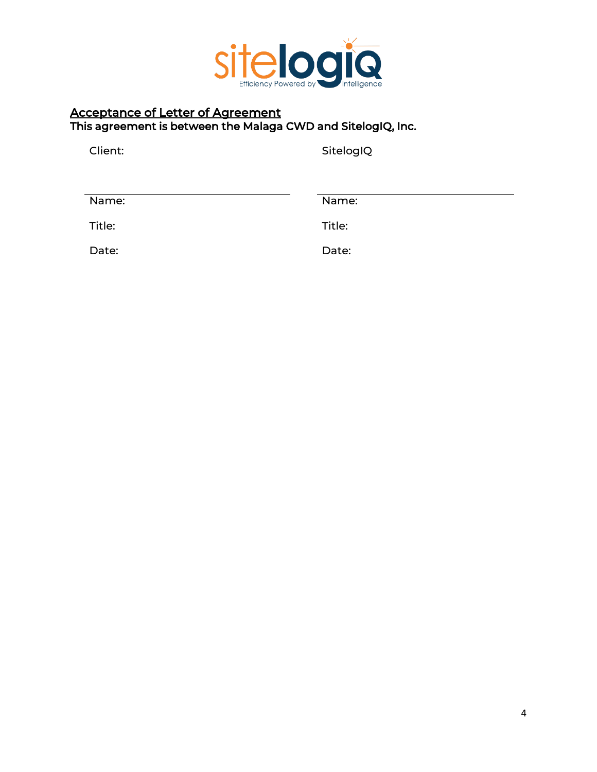

# Acceptance of Letter of Agreement This agreement is between the Malaga CWD and SitelogIQ, Inc.

Client: SitelogIQ

| Name:  | Name:  |
|--------|--------|
| Title: | Title: |
| Date:  | Date:  |